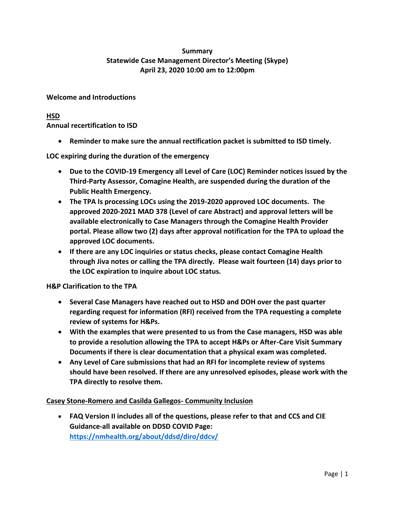# **Summary Statewide Case Management Director's Meeting (Skype) April 23, 2020 10:00 am to 12:00pm**

# **Welcome and Introductions**

# **HSD**

**Annual recertification to ISD**

• **Reminder to make sure the annual rectification packet is submitted to ISD timely.** 

**LOC expiring during the duration of the emergency**

- **Due to the COVID-19 Emergency all Level of Care (LOC) Reminder notices issued by the Third-Party Assessor, Comagine Health, are suspended during the duration of the Public Health Emergency.**
- **The TPA Is processing LOCs using the 2019-2020 approved LOC documents. The approved 2020-2021 MAD 378 (Level of care Abstract) and approval letters will be available electronically to Case Managers through the Comagine Health Provider portal. Please allow two (2) days after approval notification for the TPA to upload the approved LOC documents.**
- **If there are any LOC inquiries or status checks, please contact Comagine Health through Jiva notes or calling the TPA directly. Please wait fourteen (14) days prior to the LOC expiration to inquire about LOC status.**

**H&P Clarification to the TPA**

- **Several Case Managers have reached out to HSD and DOH over the past quarter regarding request for information (RFI) received from the TPA requesting a complete review of systems for H&Ps.**
- **With the examples that were presented to us from the Case managers, HSD was able to provide a resolution allowing the TPA to accept H&Ps or After-Care Visit Summary Documents if there is clear documentation that a physical exam was completed.**
- **Any Level of Care submissions that had an RFI for incomplete review of systems should have been resolved. If there are any unresolved episodes, please work with the TPA directly to resolve them.**

## **Casey Stone-Romero and Casilda Gallegos- Community Inclusion**

• **FAQ Version II includes all of the questions, please refer to that and CCS and CIE Guidance-all available on DDSD COVID Page: <https://nmhealth.org/about/ddsd/diro/ddcv/>**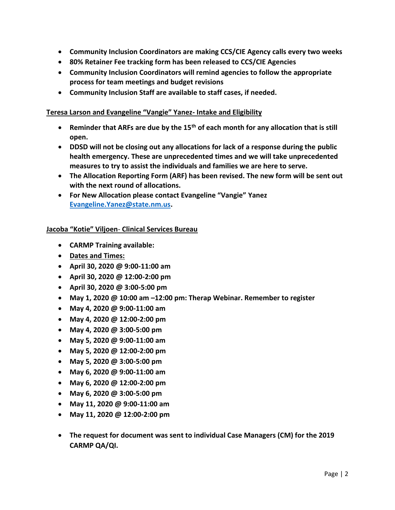- **Community Inclusion Coordinators are making CCS/CIE Agency calls every two weeks**
- **80% Retainer Fee tracking form has been released to CCS/CIE Agencies**
- **Community Inclusion Coordinators will remind agencies to follow the appropriate process for team meetings and budget revisions**
- **Community Inclusion Staff are available to staff cases, if needed.**

### **Teresa Larson and Evangeline "Vangie" Yanez- Intake and Eligibility**

- **Reminder that ARFs are due by the 15th of each month for any allocation that is still open.**
- **DDSD will not be closing out any allocations for lack of a response during the public health emergency. These are unprecedented times and we will take unprecedented measures to try to assist the individuals and families we are here to serve.**
- **The Allocation Reporting Form (ARF) has been revised. The new form will be sent out with the next round of allocations.**
- **For New Allocation please contact Evangeline "Vangie" Yanez [Evangeline.Yanez@state.nm.us.](mailto:Evangeline.Yanez@state.nm.us)**

### **Jacoba "Kotie" Viljoen**- **Clinical Services Bureau**

- **CARMP Training available:**
- **Dates and Times:**
- **April 30, 2020 @ 9:00-11:00 am**
- **April 30, 2020 @ 12:00-2:00 pm**
- **April 30, 2020 @ 3:00-5:00 pm**
- **May 1, 2020 @ 10:00 am –12:00 pm: Therap Webinar. Remember to register**
- **May 4, 2020 @ 9:00-11:00 am**
- **May 4, 2020 @ 12:00-2:00 pm**
- **May 4, 2020 @ 3:00-5:00 pm**
- **May 5, 2020 @ 9:00-11:00 am**
- **May 5, 2020 @ 12:00-2:00 pm**
- **May 5, 2020 @ 3:00-5:00 pm**
- **May 6, 2020 @ 9:00-11:00 am**
- **May 6, 2020 @ 12:00-2:00 pm**
- **May 6, 2020 @ 3:00-5:00 pm**
- **May 11, 2020 @ 9:00-11:00 am**
- **May 11, 2020 @ 12:00-2:00 pm**
- **The request for document was sent to individual Case Managers (CM) for the 2019 CARMP QA/QI.**